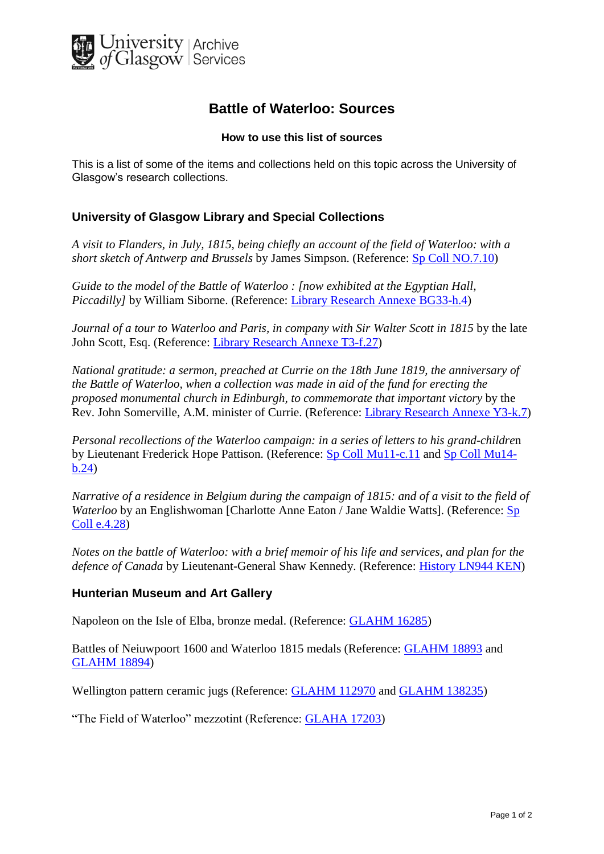

# **Battle of Waterloo: Sources**

#### **How to use this list of sources**

This is a list of some of the items and collections held on this topic across the University of Glasgow's research collections.

## **University of Glasgow Library and Special Collections**

*A visit to Flanders, in July, 1815, being chiefly an account of the field of Waterloo: with a short sketch of Antwerp and Brussels* by James Simpson. (Reference: Sp Coll [NO.7.10\)](http://encore.lib.gla.ac.uk/iii/encore/record/C__Rb1766425)

*Guide to the model of the Battle of Waterloo : [now exhibited at the Egyptian Hall, Piccadilly]* by William Siborne. (Reference: Library Research Annexe [BG33-h.4\)](http://encore.lib.gla.ac.uk/iii/encore/record/C__Rb2162881)

*Journal of a tour to Waterloo and Paris, in company with Sir Walter Scott in 1815* by the late John Scott, Esq. (Reference: Library [Research](http://encore.lib.gla.ac.uk/iii/encore/record/C__Rb2054560) Annexe T3-f.27)

*National gratitude: a sermon, preached at Currie on the 18th June 1819, the anniversary of the Battle of Waterloo, when a collection was made in aid of the fund for erecting the proposed monumental church in Edinburgh, to commemorate that important victory* by the Rev. John Somerville, A.M. minister of Currie. (Reference: Library [Research](http://encore.lib.gla.ac.uk/iii/encore/record/C__Rb1950998) Annexe Y3-k.7)

*Personal recollections of the Waterloo campaign: in a series of letters to his grand-childre*n by Lieutenant Frederick Hope Pattison. (Reference: Sp Coll [Mu11-c.11](http://encore.lib.gla.ac.uk/iii/encore/record/C__Rb1491720) and Sp Coll [Mu14](http://encore.lib.gla.ac.uk/iii/encore/record/C__Rb2312985) [b.24\)](http://encore.lib.gla.ac.uk/iii/encore/record/C__Rb2312985)

Narrative of a residence in Belgium during the campaign of 1815; and of a visit to the field of *Waterloo* by an Englishwoman [Charlotte Anne Eaton / Jane Waldie Watts]. (Reference: [Sp](http://encore.lib.gla.ac.uk/iii/encore/record/C__Rb1739382) Coll [e.4.28\)](http://encore.lib.gla.ac.uk/iii/encore/record/C__Rb1739382)

Notes on the battle of Waterloo: with a brief memoir of his life and services, and plan for the *defence of Canada* by Lieutenant-General Shaw Kennedy. (Reference: [History](http://encore.lib.gla.ac.uk/iii/encore/record/C__Rb1229148) LN944 KEN)

#### **Hunterian Museum and Art Gallery**

Napoleon on the Isle of Elba, bronze medal. (Reference: [GLAHM 16285\)](http://www.huntsearch.gla.ac.uk/cgi-bin/foxweb/huntsearch/DetailedResults.fwx?collection=all&SearchTerm=16285&mdaCode=GLAHM&reqMethod=Link)

Battles of Neiuwpoort 1600 and Waterloo 1815 medals (Reference: [GLAHM 18893](http://www.huntsearch.gla.ac.uk/cgi-bin/foxweb/huntsearch/DetailedResults.fwx?collection=all&SearchTerm=18893&mdaCode=GLAHM&reqMethod=Link) and [GLAHM 18894\)](http://www.huntsearch.gla.ac.uk/cgi-bin/foxweb/huntsearch/DetailedResults.fwx?collection=all&SearchTerm=18894&mdaCode=GLAHM&reqMethod=Link)

Wellington pattern ceramic jugs (Reference: [GLAHM 112970](http://www.huntsearch.gla.ac.uk/cgi-bin/foxweb/huntsearch/DetailedResults.fwx?collection=all&SearchTerm=112970&mdaCode=GLAHM&reqMethod=Link) and [GLAHM 138235\)](http://www.huntsearch.gla.ac.uk/cgi-bin/foxweb/huntsearch/DetailedResults.fwx?collection=all&SearchTerm=138235&mdaCode=GLAHM&reqMethod=Link)

"The Field of Waterloo" mezzotint (Reference: [GLAHA 17203\)](http://www.huntsearch.gla.ac.uk/cgi-bin/foxweb/huntsearch/DetailedResults.fwx?collection=all&SearchTerm=17203&mdaCode=GLAHA&reqMethod=Link)